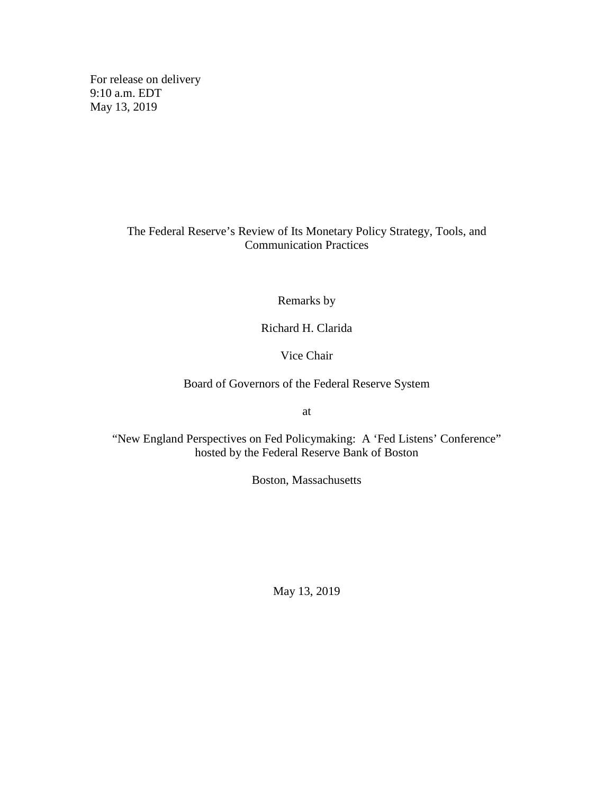For release on delivery 9:10 a.m. EDT May 13, 2019

# The Federal Reserve's Review of Its Monetary Policy Strategy, Tools, and Communication Practices

Remarks by

Richard H. Clarida

Vice Chair

Board of Governors of the Federal Reserve System

at

"New England Perspectives on Fed Policymaking: A 'Fed Listens' Conference" hosted by the Federal Reserve Bank of Boston

Boston, Massachusetts

May 13, 2019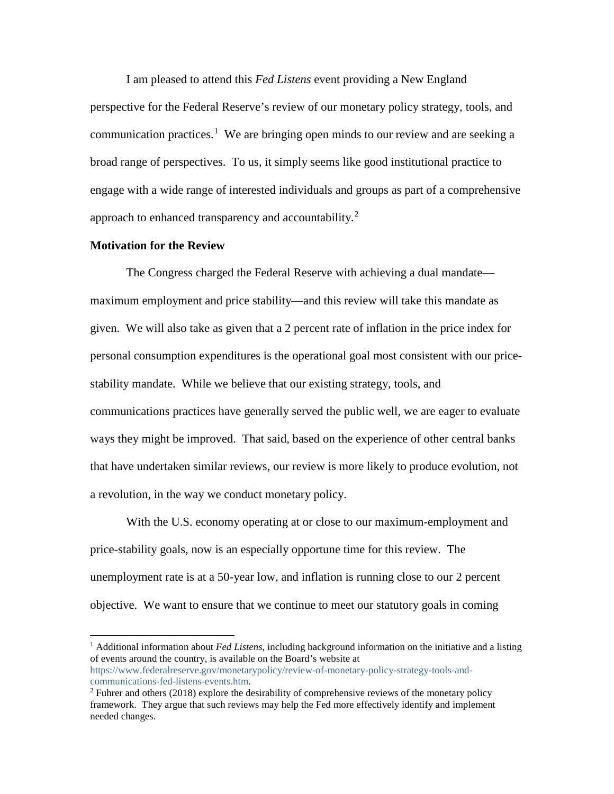I am pleased to attend this *Fed Listens* event providing a New England perspective for the Federal Reserve's review of our monetary policy strategy, tools, and communication practices.<sup>[1](#page-1-0)</sup> We are bringing open minds to our review and are seeking a broad range of perspectives. To us, it simply seems like good institutional practice to engage with a wide range of interested individuals and groups as part of a comprehensive approach to enhanced transparency and accountability.<sup>[2](#page-1-1)</sup>

#### **Motivation for the Review**

The Congress charged the Federal Reserve with achieving a dual mandate maximum employment and price stability—and this review will take this mandate as given. We will also take as given that a 2 percent rate of inflation in the price index for personal consumption expenditures is the operational goal most consistent with our pricestability mandate. While we believe that our existing strategy, tools, and communications practices have generally served the public well, we are eager to evaluate ways they might be improved. That said, based on the experience of other central banks that have undertaken similar reviews, our review is more likely to produce evolution, not a revolution, in the way we conduct monetary policy.

With the U.S. economy operating at or close to our maximum-employment and price-stability goals, now is an especially opportune time for this review. The unemployment rate is at a 50-year low, and inflation is running close to our 2 percent objective. We want to ensure that we continue to meet our statutory goals in coming

<span id="page-1-0"></span> <sup>1</sup> Additional information about *Fed Listens,* including background information on the initiative and a listing of events around the country, is available on the Board's website at [https://www.federalreserve.gov/monetarypolicy/review-of-monetary-policy-strategy-tools-and](https://www.federalreserve.gov/monetarypolicy/review-of-monetary-policy-strategy-tools-and-communications-fed-listens-events.htm)[communications-fed-listens-events.htm.](https://www.federalreserve.gov/monetarypolicy/review-of-monetary-policy-strategy-tools-and-communications-fed-listens-events.htm)

<span id="page-1-1"></span><sup>2</sup> Fuhrer and others (2018) explore the desirability of comprehensive reviews of the monetary policy framework. They argue that such reviews may help the Fed more effectively identify and implement needed changes.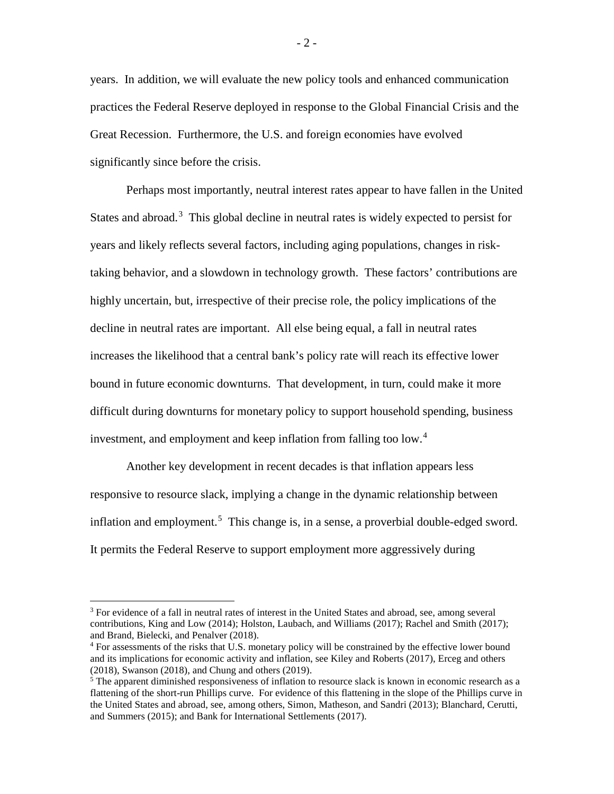years. In addition, we will evaluate the new policy tools and enhanced communication practices the Federal Reserve deployed in response to the Global Financial Crisis and the Great Recession. Furthermore, the U.S. and foreign economies have evolved significantly since before the crisis.

Perhaps most importantly, neutral interest rates appear to have fallen in the United States and abroad.<sup>[3](#page-2-0)</sup> This global decline in neutral rates is widely expected to persist for years and likely reflects several factors, including aging populations, changes in risktaking behavior, and a slowdown in technology growth. These factors' contributions are highly uncertain, but, irrespective of their precise role, the policy implications of the decline in neutral rates are important. All else being equal, a fall in neutral rates increases the likelihood that a central bank's policy rate will reach its effective lower bound in future economic downturns. That development, in turn, could make it more difficult during downturns for monetary policy to support household spending, business investment, and employment and keep inflation from falling too low. [4](#page-2-1)

Another key development in recent decades is that inflation appears less responsive to resource slack, implying a change in the dynamic relationship between inflation and employment.<sup>[5](#page-2-2)</sup> This change is, in a sense, a proverbial double-edged sword. It permits the Federal Reserve to support employment more aggressively during

<span id="page-2-0"></span><sup>&</sup>lt;sup>3</sup> For evidence of a fall in neutral rates of interest in the United States and abroad, see, among several contributions, King and Low (2014); Holston, Laubach, and Williams (2017); Rachel and Smith (2017); and Brand, Bielecki, and Penalver (2018).

<span id="page-2-1"></span><sup>&</sup>lt;sup>4</sup> For assessments of the risks that U.S. monetary policy will be constrained by the effective lower bound and its implications for economic activity and inflation, see Kiley and Roberts (2017), Erceg and others (2018), Swanson (2018), and Chung and others (2019).

<span id="page-2-2"></span><sup>&</sup>lt;sup>5</sup> The apparent diminished responsiveness of inflation to resource slack is known in economic research as a flattening of the short-run Phillips curve. For evidence of this flattening in the slope of the Phillips curve in the United States and abroad, see, among others, Simon, Matheson, and Sandri (2013); Blanchard, Cerutti, and Summers (2015); and Bank for International Settlements (2017).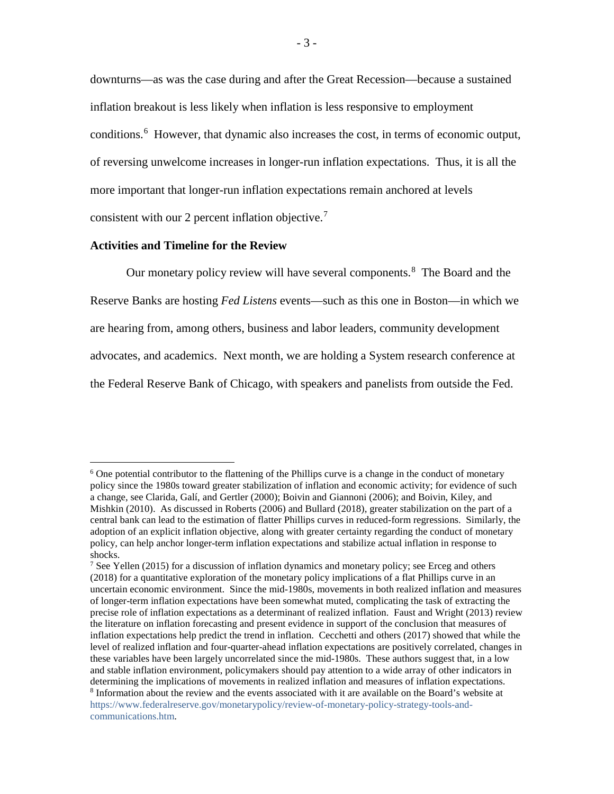downturns—as was the case during and after the Great Recession—because a sustained inflation breakout is less likely when inflation is less responsive to employment conditions. [6](#page-3-0) However, that dynamic also increases the cost, in terms of economic output, of reversing unwelcome increases in longer-run inflation expectations. Thus, it is all the more important that longer-run inflation expectations remain anchored at levels consistent with our 2 percent inflation objective. [7](#page-3-1)

### **Activities and Timeline for the Review**

Our monetary policy review will have several components.<sup>[8](#page-3-2)</sup> The Board and the Reserve Banks are hosting *Fed Listens* events—such as this one in Boston—in which we are hearing from, among others, business and labor leaders, community development advocates, and academics. Next month, we are holding a System research conference at the Federal Reserve Bank of Chicago, with speakers and panelists from outside the Fed.

<span id="page-3-0"></span> $6$  One potential contributor to the flattening of the Phillips curve is a change in the conduct of monetary policy since the 1980s toward greater stabilization of inflation and economic activity; for evidence of such a change, see Clarida, Galí, and Gertler (2000); Boivin and Giannoni (2006); and Boivin, Kiley, and Mishkin (2010). As discussed in Roberts (2006) and Bullard (2018), greater stabilization on the part of a central bank can lead to the estimation of flatter Phillips curves in reduced-form regressions. Similarly, the adoption of an explicit inflation objective, along with greater certainty regarding the conduct of monetary policy, can help anchor longer-term inflation expectations and stabilize actual inflation in response to shocks.

<span id="page-3-2"></span><span id="page-3-1"></span><sup>&</sup>lt;sup>7</sup> See Yellen (2015) for a discussion of inflation dynamics and monetary policy; see Erceg and others (2018) for a quantitative exploration of the monetary policy implications of a flat Phillips curve in an uncertain economic environment. Since the mid-1980s, movements in both realized inflation and measures of longer-term inflation expectations have been somewhat muted, complicating the task of extracting the precise role of inflation expectations as a determinant of realized inflation. Faust and Wright (2013) review the literature on inflation forecasting and present evidence in support of the conclusion that measures of inflation expectations help predict the trend in inflation. Cecchetti and others (2017) showed that while the level of realized inflation and four-quarter-ahead inflation expectations are positively correlated, changes in these variables have been largely uncorrelated since the mid-1980s. These authors suggest that, in a low and stable inflation environment, policymakers should pay attention to a wide array of other indicators in determining the implications of movements in realized inflation and measures of inflation expectations. <sup>8</sup> Information about the review and the events associated with it are available on the Board's website at [https://www.federalreserve.gov/monetarypolicy/review-of-monetary-policy-strategy-tools-and](https://www.federalreserve.gov/monetarypolicy/review-of-monetary-policy-strategy-tools-and-communications.htm)[communications.htm.](https://www.federalreserve.gov/monetarypolicy/review-of-monetary-policy-strategy-tools-and-communications.htm)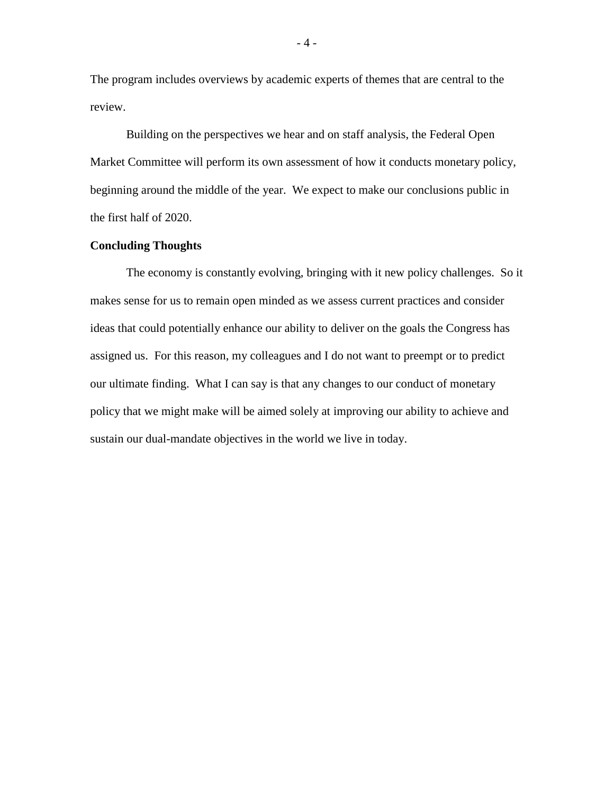The program includes overviews by academic experts of themes that are central to the review.

Building on the perspectives we hear and on staff analysis, the Federal Open Market Committee will perform its own assessment of how it conducts monetary policy, beginning around the middle of the year. We expect to make our conclusions public in the first half of 2020.

# **Concluding Thoughts**

The economy is constantly evolving, bringing with it new policy challenges. So it makes sense for us to remain open minded as we assess current practices and consider ideas that could potentially enhance our ability to deliver on the goals the Congress has assigned us. For this reason, my colleagues and I do not want to preempt or to predict our ultimate finding. What I can say is that any changes to our conduct of monetary policy that we might make will be aimed solely at improving our ability to achieve and sustain our dual-mandate objectives in the world we live in today.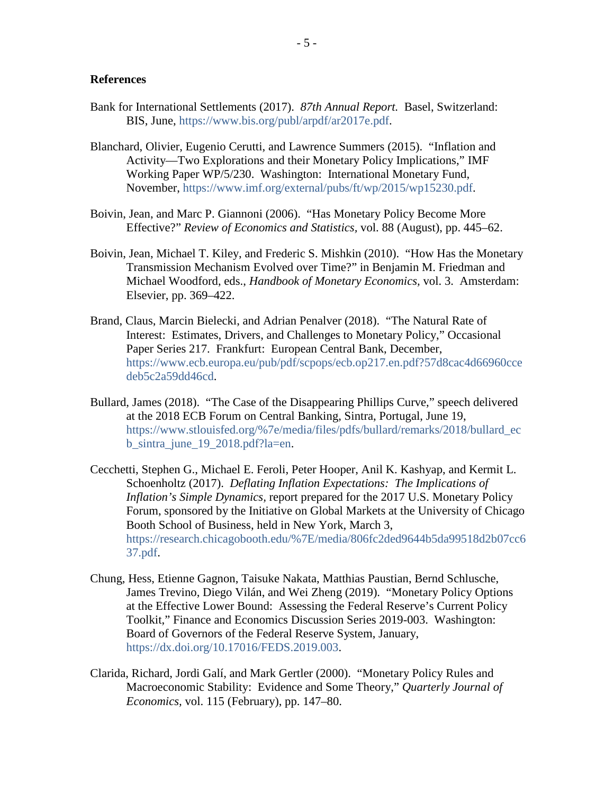### **References**

- Bank for International Settlements (2017). *87th Annual Report.* Basel, Switzerland: BIS, June, [https://www.bis.org/publ/arpdf/ar2017e.pdf.](https://www.bis.org/publ/arpdf/ar2017e.pdf)
- Blanchard, Olivier, Eugenio Cerutti, and Lawrence Summers (2015). "Inflation and Activity—Two Explorations and their Monetary Policy Implications," IMF Working Paper WP/5/230. Washington: International Monetary Fund, November, [https://www.imf.org/external/pubs/ft/wp/2015/wp15230.pdf.](https://www.imf.org/external/pubs/ft/wp/2015/wp15230.pdf)
- Boivin, Jean, and Marc P. Giannoni (2006). "Has Monetary Policy Become More Effective?" *Review of Economics and Statistics,* vol. 88 (August), pp. 445–62.
- Boivin, Jean, Michael T. Kiley, and Frederic S. Mishkin (2010). "How Has the Monetary Transmission Mechanism Evolved over Time?" in Benjamin M. Friedman and Michael Woodford, eds., *Handbook of Monetary Economics,* vol. 3. Amsterdam: Elsevier, pp. 369–422.
- Brand, Claus, Marcin Bielecki, and Adrian Penalver (2018). "The Natural Rate of Interest: Estimates, Drivers, and Challenges to Monetary Policy," Occasional Paper Series 217. Frankfurt: European Central Bank, December, [https://www.ecb.europa.eu/pub/pdf/scpops/ecb.op217.en.pdf?57d8cac4d66960cce](https://www.ecb.europa.eu/pub/pdf/scpops/ecb.op217.en.pdf?57d8cac4d66960ccedeb5c2a59dd46cd) [deb5c2a59dd46cd.](https://www.ecb.europa.eu/pub/pdf/scpops/ecb.op217.en.pdf?57d8cac4d66960ccedeb5c2a59dd46cd)
- Bullard, James (2018). "The Case of the Disappearing Phillips Curve," speech delivered at the 2018 ECB Forum on Central Banking, Sintra, Portugal, June 19, [https://www.stlouisfed.org/%7e/media/files/pdfs/bullard/remarks/2018/bullard\\_ec](https://www.stlouisfed.org/%7E/media/files/pdfs/bullard/remarks/2018/bullard_ecb_sintra_june_19_2018.pdf?la=en) [b\\_sintra\\_june\\_19\\_2018.pdf?la=en.](https://www.stlouisfed.org/%7E/media/files/pdfs/bullard/remarks/2018/bullard_ecb_sintra_june_19_2018.pdf?la=en)
- Cecchetti, Stephen G., Michael E. Feroli, Peter Hooper, Anil K. Kashyap, and Kermit L. Schoenholtz (2017). *Deflating Inflation Expectations: The Implications of Inflation's Simple Dynamics,* report prepared for the 2017 U.S. Monetary Policy Forum, sponsored by the Initiative on Global Markets at the University of Chicago Booth School of Business, held in New York, March 3, [https://research.chicagobooth.edu/%7E/media/806fc2ded9644b5da99518d2b07cc6](https://research.chicagobooth.edu/%7E/media/806fc2ded9644b5da99518d2b07cc637.pdf) [37.pdf.](https://research.chicagobooth.edu/%7E/media/806fc2ded9644b5da99518d2b07cc637.pdf)
- Chung, Hess, Etienne Gagnon, Taisuke Nakata, Matthias Paustian, Bernd Schlusche, James Trevino, Diego Vilán, and Wei Zheng (2019). "Monetary Policy Options at the Effective Lower Bound: Assessing the Federal Reserve's Current Policy Toolkit," Finance and Economics Discussion Series 2019-003. Washington: Board of Governors of the Federal Reserve System, January, [https://dx.doi.org/10.17016/FEDS.2019.003.](https://dx.doi.org/10.17016/FEDS.2019.003)
- Clarida, Richard, Jordi Galí, and Mark Gertler (2000). "Monetary Policy Rules and Macroeconomic Stability: Evidence and Some Theory," *Quarterly Journal of Economics,* vol. 115 (February), pp. 147–80.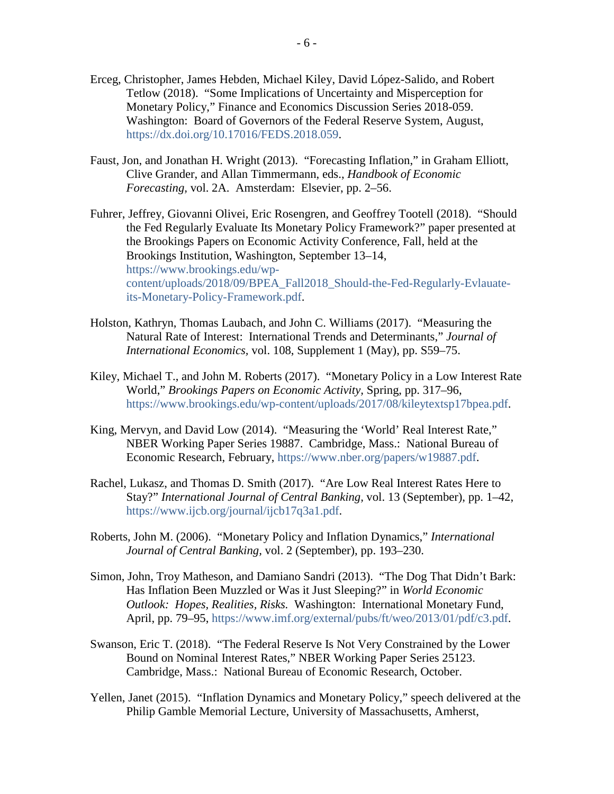- Erceg, Christopher, James Hebden, Michael Kiley, David López-Salido, and Robert Tetlow (2018). "Some Implications of Uncertainty and Misperception for Monetary Policy," Finance and Economics Discussion Series 2018-059. Washington: Board of Governors of the Federal Reserve System, August, [https://dx.doi.org/10.17016/FEDS.2018.059.](https://dx.doi.org/10.17016/FEDS.2018.059)
- Faust, Jon, and Jonathan H. Wright (2013). "Forecasting Inflation," in Graham Elliott, Clive Grander, and Allan Timmermann, eds., *Handbook of Economic Forecasting,* vol. 2A. Amsterdam: Elsevier, pp. 2–56.
- Fuhrer, Jeffrey, Giovanni Olivei, Eric Rosengren, and Geoffrey Tootell (2018). "Should the Fed Regularly Evaluate Its Monetary Policy Framework?" paper presented at the Brookings Papers on Economic Activity Conference*,* Fall, held at the Brookings Institution, Washington, September 13–14, [https://www.brookings.edu/wp](https://www.brookings.edu/wp-content/uploads/2018/09/BPEA_Fall2018_Should-the-Fed-Regularly-Evlauate-its-Monetary-Policy-Framework.pdf)[content/uploads/2018/09/BPEA\\_Fall2018\\_Should-the-Fed-Regularly-Evlauate](https://www.brookings.edu/wp-content/uploads/2018/09/BPEA_Fall2018_Should-the-Fed-Regularly-Evlauate-its-Monetary-Policy-Framework.pdf)[its-Monetary-Policy-Framework.pdf.](https://www.brookings.edu/wp-content/uploads/2018/09/BPEA_Fall2018_Should-the-Fed-Regularly-Evlauate-its-Monetary-Policy-Framework.pdf)
- Holston, Kathryn, Thomas Laubach, and John C. Williams (2017). "Measuring the Natural Rate of Interest: International Trends and Determinants," *Journal of International Economics,* vol. 108, Supplement 1 (May), pp. S59–75.
- Kiley, Michael T., and John M. Roberts (2017). "Monetary Policy in a Low Interest Rate World," *Brookings Papers on Economic Activity,* Spring, pp. 317–96, [https://www.brookings.edu/wp-content/uploads/2017/08/kileytextsp17bpea.pdf.](https://www.brookings.edu/wp-content/uploads/2017/08/kileytextsp17bpea.pdf)
- King, Mervyn, and David Low (2014). "Measuring the 'World' Real Interest Rate," NBER Working Paper Series 19887. Cambridge, Mass.: National Bureau of Economic Research, February, [https://www.nber.org/papers/w19887.pdf.](https://www.nber.org/papers/w19887.pdf)
- Rachel, Lukasz, and Thomas D. Smith (2017). "Are Low Real Interest Rates Here to Stay?" *International Journal of Central Banking,* vol. 13 (September), pp. 1–42, [https://www.ijcb.org/journal/ijcb17q3a1.pdf.](https://www.ijcb.org/journal/ijcb17q3a1.pdf)
- Roberts, John M. (2006). "Monetary Policy and Inflation Dynamics," *International Journal of Central Banking,* vol. 2 (September), pp. 193–230.
- Simon, John, Troy Matheson, and Damiano Sandri (2013). "The Dog That Didn't Bark: Has Inflation Been Muzzled or Was it Just Sleeping?" in *World Economic Outlook: Hopes, Realities, Risks.* Washington: International Monetary Fund, April, pp. 79–95, [https://www.imf.org/external/pubs/ft/weo/2013/01/pdf/c3.pdf.](https://www.imf.org/external/pubs/ft/weo/2013/01/pdf/c3.pdf)
- Swanson, Eric T. (2018). "The Federal Reserve Is Not Very Constrained by the Lower Bound on Nominal Interest Rates," NBER Working Paper Series 25123. Cambridge, Mass.: National Bureau of Economic Research, October.
- Yellen, Janet (2015). "Inflation Dynamics and Monetary Policy," speech delivered at the Philip Gamble Memorial Lecture, University of Massachusetts, Amherst,